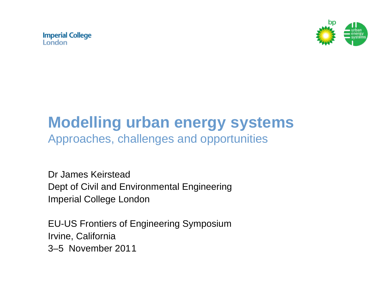**Imperial College** London



# **Modelling urban energy systems**

Approaches, challenges and opportunities

Dr James Keirstead Dept of Civil and Environmental Engineering Imperial College London

EU-US Frontiers of Engineering Symposium Irvine, California 3–5 November 2011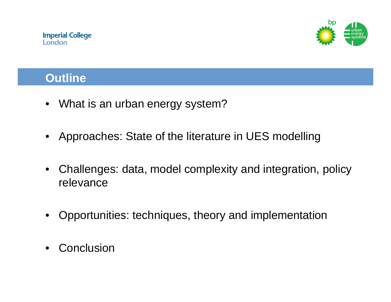

#### **Outline**

- What is an urban energy system?
- Approaches: State of the literature in UES modelling
- Challenges: data, model complexity and integration, policy relevance
- Opportunities: techniques, theory and implementation
- **Conclusion**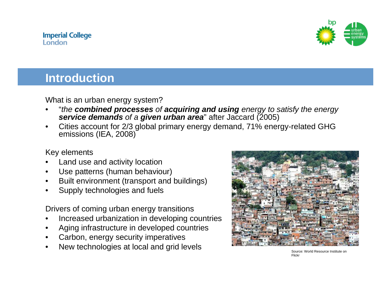

#### **Introduction**

What is an urban energy system?

- "*the combined processes of acquiring and using energy to satisfy the energy service demands of a given urban area*" after Jaccard (2005)
- Cities account for 2/3 global primary energy demand, 71% energy-related GHG emissions (IEA, 2008)

Key elements

- Land use and activity location
- Use patterns (human behaviour)
- Built environment (transport and buildings)
- Supply technologies and fuels

Drivers of coming urban energy transitions

- Increased urbanization in developing countries
- Aging infrastructure in developed countries
- Carbon, energy security imperatives
- New technologies at local and grid levels



Source: World Resource Institute on Flickr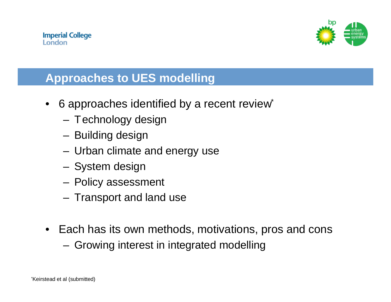

# **Approaches to UES modelling**

- 6 approaches identified by a recent review\*
	- Technology design
	- Building design
	- Urban climate and energy use
	- System design
	- Policy assessment
	- Transport and land use
- Each has its own methods, motivations, pros and cons
	- Growing interest in integrated modelling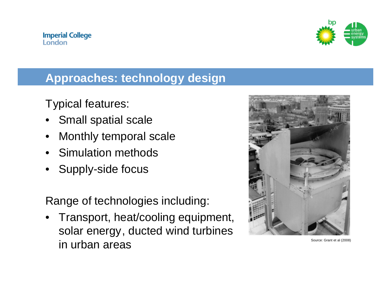

#### **Approaches: technology design**

Typical features:

- Small spatial scale
- Monthly temporal scale
- Simulation methods
- Supply-side focus

Range of technologies including:

• Transport, heat/cooling equipment, solar energy, ducted wind turbines in urban areas  $\sum_{\text{Source: Grant et al (2008)}}$ 

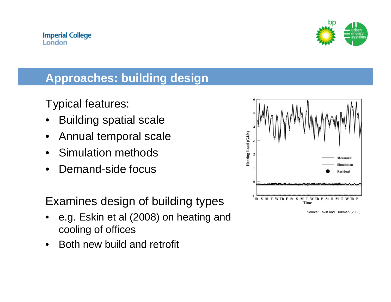

# **Approaches: building design**

Typical features:

- Building spatial scale
- Annual temporal scale
- Simulation methods
- Demand-side focus

Examines design of building types

- e.g. Eskin et al (2008) on heating and cooling of offices
- Both new build and retrofit



Source: Eskin and Turkmen (2008)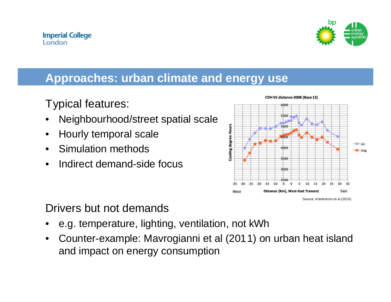

#### **Approaches: urban climate and energy use**

Typical features:

- Neighbourhood/street spatial scale
- Hourly temporal scale
- Simulation methods
- Indirect demand-side focus



Drivers but not demands

- e.g. temperature, lighting, ventilation, not kWh
- Counter-example: Mavrogianni et al (2011) on urban heat island and impact on energy consumption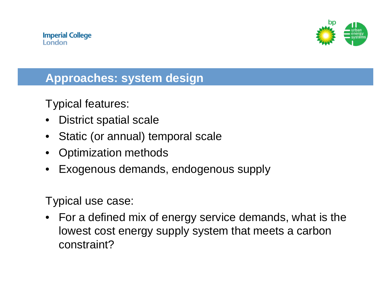

## **Approaches: system design**

Typical features:

- District spatial scale
- Static (or annual) temporal scale
- Optimization methods
- Exogenous demands, endogenous supply

Typical use case:

• For a defined mix of energy service demands, what is the lowest cost energy supply system that meets a carbon constraint?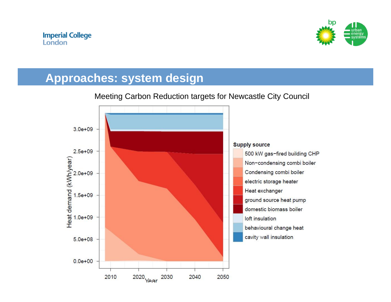

## **Approaches: system design**



#### Meeting Carbon Reduction targets for Newcastle City Council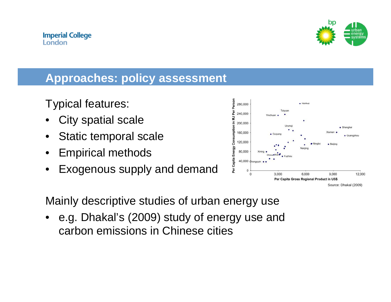

#### **Approaches: policy assessment**

Typical features:

- City spatial scale
- Static temporal scale
- Empirical methods
- Exogenous supply and demand



Mainly descriptive studies of urban energy use

e.g. Dhakal's (2009) study of energy use and carbon emissions in Chinese cities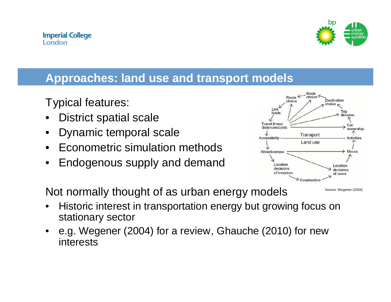

#### **Approaches: land use and transport models**

Typical features:

- District spatial scale
- Dynamic temporal scale
- Econometric simulation methods
- Endogenous supply and demand



Not normally thought of as urban energy models

- Source: Wegener (2004)
- Historic interest in transportation energy but growing focus on stationary sector
- e.g. Wegener (2004) for a review, Ghauche (2010) for new interests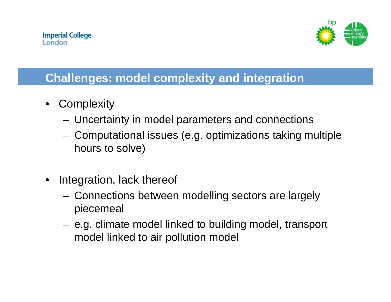

# **Challenges: model complexity and integration**

- **Complexity** 
	- Uncertainty in model parameters and connections
	- Computational issues (e.g. optimizations taking multiple hours to solve)
- Integration, lack thereof
	- Connections between modelling sectors are largely piecemeal
	- e.g. climate model linked to building model, transport model linked to air pollution model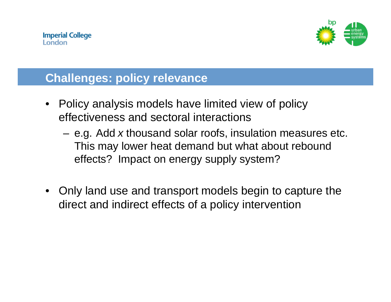

#### **Challenges: policy relevance**

- Policy analysis models have limited view of policy effectiveness and sectoral interactions
	- e.g. Add *x* thousand solar roofs, insulation measures etc. This may lower heat demand but what about rebound effects? Impact on energy supply system?
- Only land use and transport models begin to capture the direct and indirect effects of a policy intervention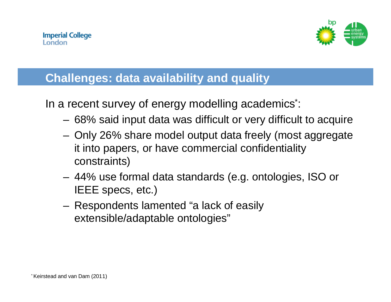

# **Challenges: data availability and quality**

In a recent survey of energy modelling academics\*:

- 68% said input data was difficult or very difficult to acquire
- Only 26% share model output data freely (most aggregate it into papers, or have commercial confidentiality constraints)
- 44% use formal data standards (e.g. ontologies, ISO or IEEE specs, etc.)
- Respondents lamented "a lack of easily extensible/adaptable ontologies"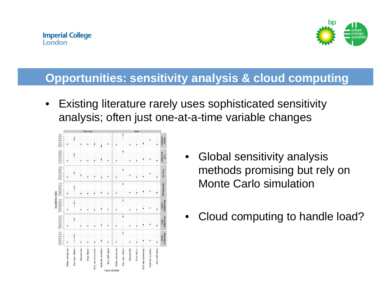

#### **Opportunities: sensitivity analysis & cloud computing**

• Existing literature rarely uses sophisticated sensitivity analysis; often just one-at-a-time variable changes



- Global sensitivity analysis methods promising but rely on Monte Carlo simulation
- Cloud computing to handle load?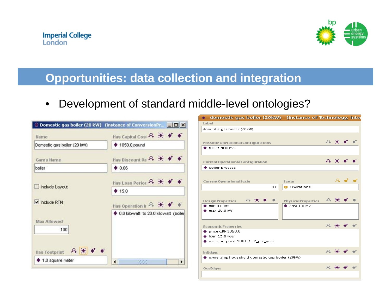

#### **Opportunities: data collection and integration**

#### • Development of standard middle-level ontologies?

|                                                                     | $\Diamond$ Domestic gas boiler (20 kW) (instance of ConversionPr $\Box$ $\Box$ X |  |  |
|---------------------------------------------------------------------|----------------------------------------------------------------------------------|--|--|
| Name                                                                | Has Capital Cost P.                                                              |  |  |
| Domestic gas boiler (20 KVV)                                        | $\blacklozenge$ 1050.0 pound                                                     |  |  |
| <b>Gams Name</b>                                                    | Has Discount Ra A                                                                |  |  |
| boiler                                                              | 0.06                                                                             |  |  |
| Include Layout                                                      | Has Loan Period P.                                                               |  |  |
|                                                                     | $*15.0$                                                                          |  |  |
| $\blacktriangleright$ Include RTN                                   | Has Operation In $P_1$ $\star$                                                   |  |  |
| Max Allowed<br>100<br>$P_{\bullet}$ $\star$<br><b>Has Footprint</b> | 0.0 kilowatt to 20.0 kilowatt (boiler                                            |  |  |
| $\blacklozenge$ 1.0 square meter                                    | ٠                                                                                |  |  |

| domestic gas boiler (20kW) (instance of Technology, inter |                                                            |                            |  |
|-----------------------------------------------------------|------------------------------------------------------------|----------------------------|--|
| Label                                                     |                                                            |                            |  |
| domestic gas boiler (20kW)                                |                                                            |                            |  |
|                                                           |                                                            |                            |  |
| Possible Operational Configurations                       | $P_1 = \frac{1}{2}$                                        |                            |  |
| boiler process                                            |                                                            |                            |  |
|                                                           |                                                            |                            |  |
|                                                           |                                                            |                            |  |
| Current Operational Configuration                         | $P_{\bullet}$ $\rightarrow$                                |                            |  |
| ♦ boiler process                                          |                                                            |                            |  |
|                                                           |                                                            |                            |  |
|                                                           |                                                            | $\mathcal{P}_{\mathbf{L}}$ |  |
| <b>Current OperationalScale</b><br>Status                 |                                                            |                            |  |
| O.C.                                                      | <b>O</b> Operational                                       |                            |  |
|                                                           |                                                            |                            |  |
| A<br>Des ign Properties                                   | $\mathcal{P}_{\mathbb{A}}$ .<br><b>Physical Properties</b> |                            |  |
| min 0 0 0                                                 | area 1.0 m2                                                |                            |  |
| max 20.0 KW                                               |                                                            |                            |  |
|                                                           |                                                            |                            |  |
|                                                           |                                                            |                            |  |
| <b>EconomicProperties</b>                                 | $P_+$ $\rightarrow$                                        |                            |  |
| price GBP 1050.0                                          |                                                            |                            |  |
| $\bullet$ Ican 15.0 vear                                  |                                                            |                            |  |
| operating cost 100.0 GBP_per_year ♦                       |                                                            |                            |  |
|                                                           | $\mathcal{P}_n$                                            |                            |  |
| In Edges                                                  |                                                            |                            |  |
| ownership household domestic gas boiler (20KW)            |                                                            |                            |  |
|                                                           |                                                            |                            |  |
| <b>OutEdges</b>                                           |                                                            |                            |  |
|                                                           |                                                            |                            |  |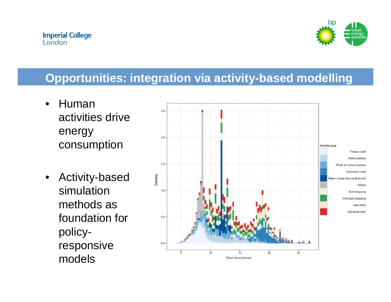

## **Opportunities: integration via activity-based modelling**

- Human activities drive energy consumption
- Activity-based simulation methods as foundation for policyresponsive models

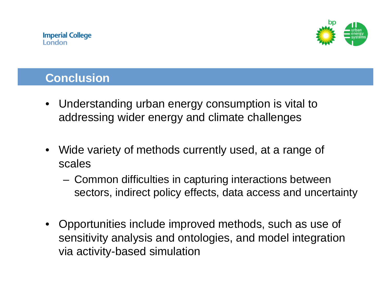

# **Conclusion**

- Understanding urban energy consumption is vital to addressing wider energy and climate challenges
- Wide variety of methods currently used, at a range of scales
	- Common difficulties in capturing interactions between sectors, indirect policy effects, data access and uncertainty
- Opportunities include improved methods, such as use of sensitivity analysis and ontologies, and model integration via activity-based simulation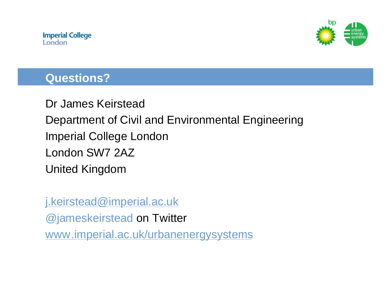

#### **Questions?**

Dr James Keirstead Department of Civil and Environmental Engineering Imperial College London London SW7 2AZ United Kingdom

#### [j.keirstead@imperial.ac.uk](mailto:j.keirstead@imperial.ac.uk)

@jameskeirstead on Twitter

[www.imperial.ac.uk/urbanenergysystems](http://www.imperial.ac.uk/urbanenergysystems)